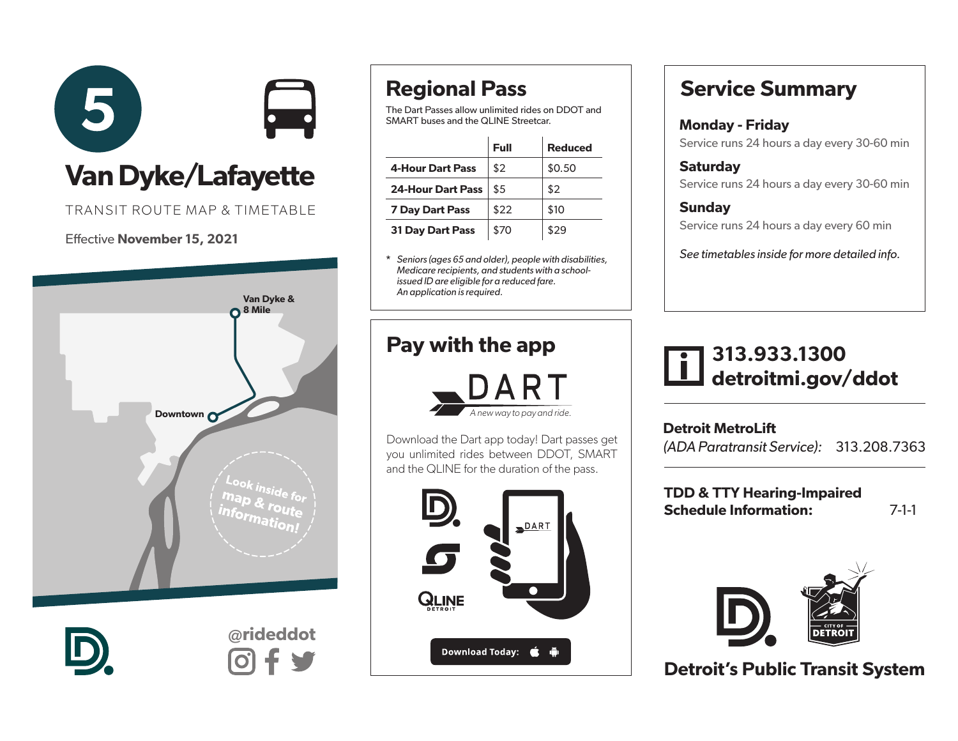

TRANSIT ROUTE MAP & TIMETABLE

### Effective November 15, 2021





@rideddot

# Regional Pass

The Dart Passes allow unlimited rides on DDOT and SMART buses and the QLINE Streetcar.

|                          | Full | <b>Reduced</b> |
|--------------------------|------|----------------|
| <b>4-Hour Dart Pass</b>  | \$2  | \$0.50         |
| <b>24-Hour Dart Pass</b> | \$5  | \$2            |
| <b>7 Day Dart Pass</b>   | \$22 | \$10           |
| <b>31 Day Dart Pass</b>  | \$70 | \$29           |

\* *Seniors (ages 65 and older), people with disabilities, Medicare recipients, and students with a schoolissued ID are eligible for a reduced fare. An application is required.* 

## Pay with the app



Download the Dart app today! Dart passes get you unlimited rides between DDOT, SMART and the QLINE for the duration of the pass.



# Service Summary

#### Monday - Friday Service runs 24 hours a day every 30-60 min

**Saturdav** 

Service runs 24 hours a day every 30-60 min

### **Sunday** Service runs 24 hours a day every 60 min

*See timetables inside for more detailed info.*

## 313.933.1300 detroitmi.gov/ddot

Detroit MetroLift *(ADA Paratransit Service):* 313.208.7363

TDD & TTY Hearing-Impaired Schedule Information: 7-1-1



Detroit's Public Transit System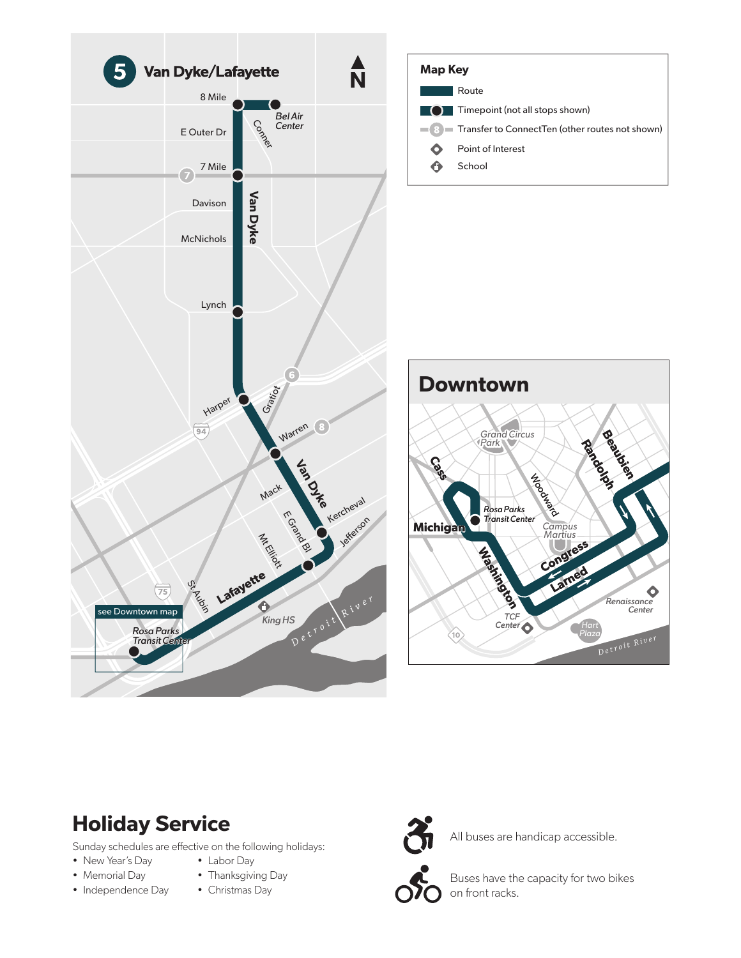

### Holiday Service

Sunday schedules are effective on the following holidays:

- New Year's Day
- Memorial Day • Independence Day
- Labor Day • Thanksgiving Day
- Christmas Day



All buses are handicap accessible.

Buses have the capacity for two bikes on front racks.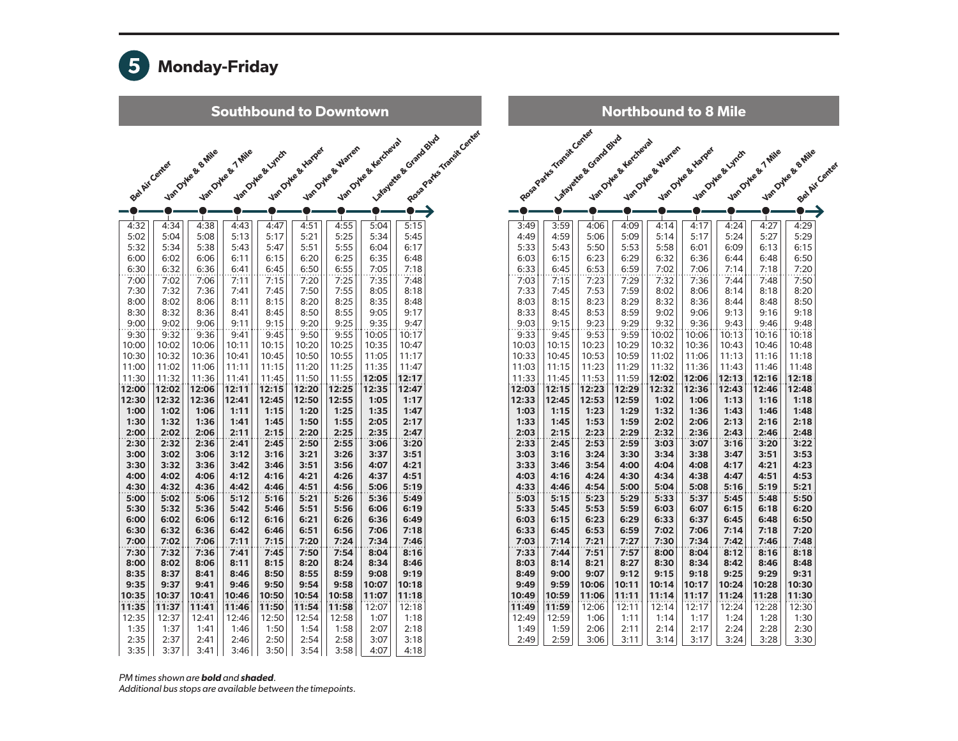

Southbound to Downtown

|                |              |                   |                   |                  |                   |                  |                      | Rosa Patte Transit Center<br>La feate & Grand Blue |
|----------------|--------------|-------------------|-------------------|------------------|-------------------|------------------|----------------------|----------------------------------------------------|
|                |              |                   |                   |                  |                   | VanDyke & Warten | Vancoyee & Herchesta |                                                    |
|                |              | Van Oyke & e Mile | Van Oyke & 7 Mile | Van Oyke & Lynch | Van Oyle & Harger |                  |                      |                                                    |
| Bet Air Center |              |                   |                   |                  |                   |                  |                      |                                                    |
|                |              |                   |                   |                  |                   |                  |                      |                                                    |
|                |              |                   |                   |                  |                   |                  |                      |                                                    |
|                |              |                   |                   |                  |                   |                  |                      |                                                    |
|                |              |                   |                   |                  |                   |                  |                      |                                                    |
| 4:32           | 4:34         | 4:38              | 4:43              | 4:47             | 4:51              | 4:55             | 5:04                 | 5:15                                               |
| 5:02           | 5:04         | 5:08              | 5:13              | 5:17             | 5:21              | 5:25             | 5:34                 | 5:45                                               |
| 5:32           | 5:34         | 5:38              | 5:43              | 5:47             | 5:51              | 5:55             | 6:04                 | 6:17                                               |
| 6:00           | 6:02         | 6:06              | 6:11              | 6:15             | 6:20              | 6:25             | 6:35                 | 6:48                                               |
| 6:30           | 6:32         | 6:36              | 6:41              | 6:45             | 6:50              | 6:55             | 7:05                 | 7:18                                               |
| 7:00           | 7:02         | 7:06              | 7:11              | 7:15             | 7:20              | 7:25             | 7:35                 | 7:48                                               |
| 7:30           | 7:32         | 7:36              | 7:41              | 7:45             | 7:50              | 7:55             | 8:05                 | 8:18                                               |
| 8:00           | 8:02         | 8:06              | 8:11              | 8:15             | 8:20              | 8:25             | 8:35                 | 8:48                                               |
| 8:30           | 8:32         | 8:36              | 8:41              | 8:45             | 8:50              | 8:55             | 9:05                 | 9:17                                               |
| 9:00           | 9:02         | 9:06              | 9:11              | 9:15             | 9:20              | 9:25             | 9:35                 | 9:47                                               |
| 9:30           | 9:32         | 9:36              | 9:41              | 9:45             | 9:50              | 9:55             | 10:05                | 10:17                                              |
| 10:00          | 10:02        | 10:06             | 10:11             | 10:15            | 10:20             | 10:25            | 10:35                | 10:47                                              |
| 10:30          | 10:32        | 10:36             | 10:41             | 10:45            | 10:50             | 10:55            | 11:05                | 11:17                                              |
| 11:00          | 11:02        | 11:06             | 11:11             | 11:15            | 11:20             | 11:25            | 11:35                | 11:47                                              |
| 11:30          | 11:32        | 11:36             | 11:41             | 11:45            | 11:50             | 11:55            | 12:05                | 12:17                                              |
| 12:00          | 12:02        | 12:06             | 12:11             | 12:15            | 12:20             | 12:25            | 12:35                | 12:47                                              |
| 12:30          | 12:32        | 12:36             | 12:41             | 12:45            | 12:50             | 12:55            | 1:05                 | 1:17                                               |
| 1:00<br>1:30   | 1:02         | 1:06              | 1:11              | 1:15             | 1:20              | 1:25             | 1:35                 | 1:47<br>2:17                                       |
| 2:00           | 1:32<br>2:02 | 1:36<br>2:06      | 1:41<br>2:11      | 1:45<br>2:15     | 1:50<br>2:20      | 1:55<br>2:25     | 2:05<br>2:35         | 2:47                                               |
| 2:30           | 2:32         | 2:36              | 2:41              | 2:45             | 2:50              | 2:55             | 3:06                 | 3:20                                               |
| 3:00           | 3:02         | 3:06              | 3:12              | 3:16             | 3:21              | 3:26             | 3:37                 | 3:51                                               |
| 3:30           | 3:32         | 3:36              | 3:42              | 3:46             | 3:51              | 3:56             | 4:07                 | 4:21                                               |
| 4:00           | 4:02         | 4:06              | 4:12              | 4:16             | 4:21              | 4:26             | 4:37                 | 4:51                                               |
| 4:30           | 4:32         | 4:36              | 4:42              | 4:46             | 4:51              | 4:56             | 5:06                 | 5:19                                               |
| 5:00           | 5:02         | 5:06              | 5:12              | 5:16             | 5:21              | 5:26             | 5:36                 | 5:49                                               |
| 5:30           | 5:32         | 5:36              | 5:42              | 5:46             | 5:51              | 5:56             | 6:06                 | 6:19                                               |
| 6:00           | 6:02         | 6:06              | 6:12              | 6:16             | 6:21              | 6:26             | 6:36                 | 6:49                                               |
| 6:30           | 6:32         | 6:36              | 6:42              | 6:46             | 6:51              | 6:56             | 7:06                 | 7:18                                               |
| 7:00           | 7:02         | 7:06              | 7:11              | 7:15             | 7:20              | 7:24             | 7:34                 | 7:46                                               |
| 7:30           | 7:32         | 7:36              | 7:41              | 7:45             | 7:50              | 7:54             | 8:04                 | 8:16                                               |
| 8:00           | 8:02         | 8:06              | 8:11              | 8:15             | 8:20              | 8:24             | 8:34                 | 8:46                                               |
| 8:35           | 8:37         | 8:41              | 8:46              | 8:50             | 8:55              | 8:59             | 9:08                 | 9:19                                               |
| 9:35           | 9:37         | 9:41              | 9:46              | 9:50             | 9:54              | 9:58             | 10:07                | 10:18                                              |
| 10:35          | 10:37        | 10:41             | 10:46             | 10:50            | 10:54             | 10:58            | 11:07                | 11:18                                              |
| 11:35          | 11:37        | 11:41             | 11:46             | 11:50            | 11:54             | 11:58            | 12:07                | 12:18                                              |
| 12:35          | 12:37        | 12:41             | 12:46             | 12:50            | 12:54             | 12:58            | 1:07                 | 1:18                                               |
| 1:35           | 1:37         | 1:41              | 1:46              | 1:50             | 1:54              | 1:58             | 2:07                 | 2:18                                               |
| 2:35           | 2:37         | 2:41              | 2:46              | 2:50             | 2:54              | 2:58             | 3:07                 | 3:18                                               |
| 3:35           | 3:37         | 3:41              | 3:46              | 3:50             | 3:54              | 3:58             | 4:07                 | 4:18                                               |

| <b>Northbound to 8 Mile</b> |                          |                         |                      |                   |                   |                  |                   |                    |                |  |
|-----------------------------|--------------------------|-------------------------|----------------------|-------------------|-------------------|------------------|-------------------|--------------------|----------------|--|
|                             | Rosa Parks Timest Center | La foreste & Grand Burb | Van Oylee & Kescheva |                   |                   |                  |                   |                    |                |  |
|                             |                          |                         |                      | Van Oyle & Warten | Van Dyke & Karper | Van Oyke & Lynch | Van Dyke & 7 Mile | Van Oyke & B. Mile |                |  |
|                             |                          |                         |                      |                   |                   |                  |                   |                    | Bel Air Center |  |
|                             |                          |                         |                      |                   |                   |                  |                   |                    |                |  |
|                             |                          |                         |                      |                   | $\blacksquare$    |                  | $\mathbf{I}$      |                    |                |  |
| 3:49                        | 3:59                     | 4:06                    | 4:09                 | 4:14              | 4:17              | 4:24             | 4:27              | 4:29               |                |  |
| 4:49                        | 4:59                     | 5:06                    | 5:09                 | 5:14              | 5:17              | 5:24             | 5:27              | 5:29               |                |  |
| 5:33                        | 5:43                     | 5:50                    | 5:53                 | 5:58              | 6:01              | 6:09             | 6:13              | 6:15               |                |  |
| 6:03                        | 6:15                     | 6:23                    | 6:29                 | 6:32              | 6:36              | 6:44             | 6:48              | 6:50               |                |  |
| 6:33                        | 6:45                     | 6:53                    | 6:59                 | 7:02              | 7:06              | 7:14             | 7:18              | 7:20               |                |  |
| 7:03                        | 7:15                     | 7:23                    | 7:29                 | 7:32              | 7:36              | 7:44             | 7:48              | 7:50               |                |  |
| 7:33                        | 7:45                     | 7:53                    | 7:59                 | 8:02              | 8:06              | 8:14             | 8:18              | 8:20               |                |  |
| 8:03                        | 8:15                     | 8:23                    | 8:29                 | 8:32              | 8:36              | 8:44             | 8:48              | 8:50               |                |  |
| 8:33                        | 8:45                     | 8:53                    | 8:59                 | 9:02              | 9:06              | 9:13             | 9:16              | 9:18               |                |  |
| 9:03                        | 9:15                     | 9:23                    | 9:29                 | 9:32              | 9:36              | 9:43             | 9:46              | 9:48               |                |  |
| 9:33                        | 9:45                     | 9:53                    | 9:59                 | 10:02             | 10:06             | 10:13            | 10:16             | 10:18              |                |  |
| 10:03                       | 10:15                    | 10:23                   | 10:29                | 10:32             | 10:36             | 10:43            | 10:46             | 10:48              |                |  |
| 10:33                       | 10:45                    | 10:53                   | 10:59                | 11:02             | 11:06             | 11:13            | 11:16             | 11:18              |                |  |
| 11:03                       | 11:15                    | 11:23                   | 11:29                | 11:32             | 11:36             | 11:43            | 11:46             | 11:48              |                |  |
| 11:33                       | 11:45                    | 11:53                   | 11:59                | 12:02             | 12:06             | 12:13            | 12:16             | 12:18              |                |  |
| 12:03                       | 12:15                    | 12:23                   | 12:29                | 12:32             | 12:36             | 12:43            | 12:46             | 12:48              |                |  |
| 12:33                       | 12:45                    | 12:53                   | 12:59                | 1:02              | 1:06              | 1:13             | 1:16              | 1:18               |                |  |
| 1:03                        | 1:15                     | 1:23                    | 1:29                 | 1:32              | 1:36              | 1:43             | 1:46              | 1:48               |                |  |
| 1:33                        | 1:45                     | 1:53                    | 1:59                 | 2:02              | 2:06              | 2:13             | 2:16              | 2:18               |                |  |
| 2:03                        | 2:15                     | 2:23                    | 2:29                 | 2:32              | 2:36              | 2:43             | 2:46              | 2:48               |                |  |
| 2:33                        | 2:45                     | 2:53                    | 2:59                 | 3:03              | 3:07              | 3:16             | 3:20              | 3:22               |                |  |
| 3:03                        | 3:16                     | 3:24                    | 3:30                 | 3:34              | 3:38              | 3:47             | 3:51              | 3:53               |                |  |
| 3:33                        | 3:46                     | 3:54                    | 4:00                 | 4:04              | 4:08              | 4:17             | 4:21              | 4:23               |                |  |
| 4:03                        | 4:16                     | 4:24                    | 4:30                 | 4:34              | 4:38              | 4:47             | 4:51              | 4:53               |                |  |
| 4:33                        | 4:46                     | 4:54                    | 5:00                 | 5:04              | 5:08              | 5:16             | 5:19              | 5:21               |                |  |
| 5:03                        | 5:15                     | 5:23                    | 5:29                 | 5:33              | 5:37              | 5:45             | 5:48              | 5:50               |                |  |
| 5:33                        | 5:45                     | 5:53                    | 5:59                 | 6:03              | 6:07              | 6:15             | 6:18              | 6:20               |                |  |
| 6:03                        | 6:15                     | 6:23                    | 6:29                 | 6:33              | 6:37              | 6:45             | 6:48              | 6:50               |                |  |
| 6:33                        | 6:45                     | 6:53                    | 6:59                 | 7:02              | 7:06              | 7:14             | 7:18              | 7:20               |                |  |
| 7:03                        | 7:14                     | 7:21                    | 7:27                 | 7:30              | 7:34              | 7:42             | 7:46              | 7:48               |                |  |
| 7:33                        | 7:44                     | 7:51                    | 7:57                 | 8:00              | 8:04              | 8:12             | 8:16              | 8:18               |                |  |
| 8:03                        | 8:14                     | 8:21                    | 8:27                 | 8:30              | 8:34              | 8:42             | 8:46              | 8:48               |                |  |
| 8:49                        | 9:00                     | 9:07                    | 9:12                 | 9:15              | 9:18              | 9:25             | 9:29              | 9:31               |                |  |
| 9:49                        | 9:59                     | 10:06                   | 10:11                | 10:14             | 10:17             | 10:24            | 10:28             | 10:30              |                |  |
| 10:49                       | 10:59                    | 11:06                   | 11:11                | 11:14             | 11:17             | 11:24            | 11:28             | 11:30              |                |  |
| 11:49                       | 11:59                    | 12:06                   | 12:11                | 12:14             | 12:17             | 12:24            | 12:28             | 12:30              |                |  |
| 12:49                       | 12:59                    | 1:06                    | 1:11                 | 1:14              | 1:17              | 1:24             | 1:28              | 1:30               |                |  |
| 1:49                        | 1:59                     | 2:06                    | 2:11                 | 2:14              | 2:17              | 2:24             | 2:28              | 2:30               |                |  |
| 2:49                        | 2:59                     | 3:06                    | 3:11                 | 3:14              | 3:17              | 3:24             | 3:28              | 3:30               |                |  |

*PM times shown are* bold *and* shaded*.* 

*Additional bus stops are available between the timepoints.*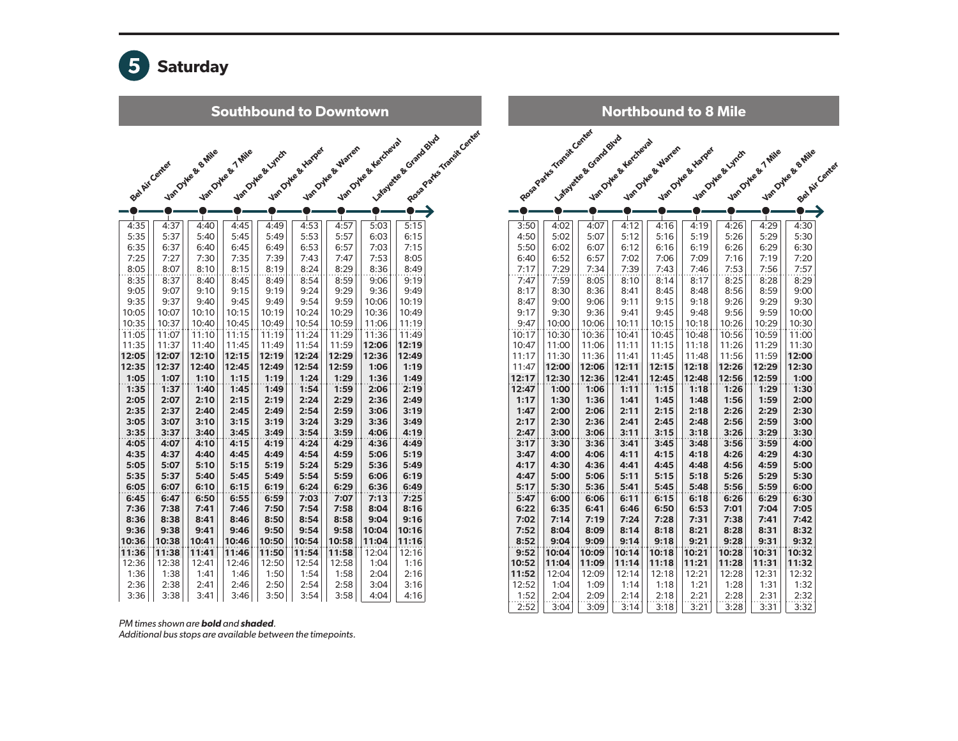

Southbound to Downtown Rosa Parks Transit Center La Kanche & Grand Blvd Van Oyke & Kercheval Van Otke & Warren Van Oylee & Harper Van Oyke & Britis Van Oyke & 7 Mile Van Dyke & Lynch Bel Air Center  $\bullet$ 0 4:35 | 4:37 | 4:40 | 4:45 | 4:49 | 4:53 | 4:57 | 5:03 | 5:15  $5:35$  |  $5:37$  |  $5:40$  |  $5:45$  |  $5:49$  |  $5:53$  |  $5:57$  |  $6:03$  |  $6:15$  $6:35$  |  $6:37$  |  $6:40$  |  $6:45$  |  $6:49$  |  $6:53$  |  $6:57$  | 7:03 | 7:15 7:25 | 7:27 | 7:30 | 7:35 | 7:39 | 7:43 | 7:47 | 7:53 | 8:05  $8:05$  |  $8:07$  |  $8:10$  |  $8:15$  |  $8:19$  |  $8:24$  |  $8:29$  |  $8:36$  |  $8:49$ 8:35 | 8:37 | 8:40 | 8:45 | 8:49 | 8:54 | 8:59 | 9:06 | 9:19 9:05|| 9:07|| 9:10|| 9:15|| 9:19|| 9:24|| 9:29|| 9:36|| 9:49 9:35 | 9:37 | 9:40 | 9:45 | 9:49 | 9:54 | 9:59 | 10:06 | 10:19 10:05 | 10:07 | 10:10 | 10:15 | 10:19 | 10:24 | 10:29 | 10:36 | 10:49 10:35 | 10:37 | 10:40 | | 10:45 | | 10:49 | | 10:54 | | 10:59 | | 11:06 | | 11:19 11:05 | | 11:07 | | 11:10 | | 11:15 | | 11:19 | | 11:24 | | 11:29 | | 11:36 | | 11:49 11:35 | | 11:37 | | 11:40 | | 11:45 | | 11:49 | | 11:54 | | 11:59 | |**12:06 | |12:19** 12:05 12:07 12:10 12:15 12:19 12:24 12:29 12:36 12:49 12:35 | 12:37 | 12:40 | 12:45 | 12:49 | 12:54 | 12:59 | | 1:06 | | 1:19 1:05 | 1:07 | 1:10 | 1:15 | 1:19 | 1:24 | 1:29 | 1:36 | 1:49 1:35 | 1:37 | 1:40 | 1:45 | 1:49 | 1:54 | 1:59 | 2:06 | 2:19 2:05 | 2:07 | 2:10 | 2:15 | 2:19 | 2:24 | 2:29 | 2:36 | 2:49 2:35 | 2:37 | 2:40 | 2:45 | 2:49 | 2:54 | 2:59 | 3:06 | 3:19 3:05 3:07 3:10 3:15 3:19 3:24 3:29 3:36 3:49 3:35 3:37 3:40 3:45 3:49 3:54 3:59 4:06 4:19 4:05 | 4:07 | 4:10 | 4:15 | 4:19 | 4:24 | 4:29 | 4:36 | 4:49 4:35 | 4:37 | 4:40 | 4:45 | 4:49 | 4:54 | 4:59 | 5:06 | 5:19 5:05 | 5:07 | 5:10 | 5:15 | 5:19 | 5:24 | 5:29 | 5:36 | 5:49 5:35 | 5:37 | 5:40 | 5:45 | 5:49 | 5:54 | 5:59 | 6:06 | 6:19  $6:05$   $6:07$   $6:10$   $6:15$   $6:19$   $6:24$   $6:29$   $6:36$   $6:49$ 6:45 | 6:47 | 6:50 | 6:55 | 6:59 | 7:03 | 7:07 | 7:13 | 7:25 7:36 | 7:38 | 7:41 | 7:46 | 7:50 | 7:54 | 7:58 | 8:04 | 8:16 8:36 | 8:38 | 8:41 | 8:46 | 8:50 | 8:54 | 8:58 | 9:04 | 9:16 9:36 | 9:38 | 9:41 | 9:46 | 9:50 | 9:54 | 9:58 |10:04 |10:16 10:36 10:38 10:41 10:46 10:50 10:54 10:58 11:04 11:16 11:36 | 11:38 | 11:41 | 11:46 | 11:50 | 11:54 | 11:58 | 12:04 | 12:16 12:36 | 12:38 | 12:41 | 12:46 | 12:50 | 12:54 | 12:58 | | 1:04 | | 1:16 1:36 | 1:38 | 1:41 | 1:46 | 1:50 | 1:54 | 1:58 | 2:04 | 2:16 2:36 | 2:38 | 2:41 | 2:46 | 2:50 | 2:54 | 2:58 | 3:04 | 3:16 3:36 | 3:38 | 3:41 | 3:46 | 3:50 | 3:54 | 3:58 | 4:04 | 4:16

| <b>Northbound to 8 Mile</b> |                          |                        |                      |                   |                   |                  |                   |                                      |  |  |
|-----------------------------|--------------------------|------------------------|----------------------|-------------------|-------------------|------------------|-------------------|--------------------------------------|--|--|
|                             | Rosa Parks Ymerit Center | La foreste & Grandours | Van Oylee & Headleys | Van Dyke & Warten | Van Oyke & Harger | Van Dyke & Lynch | Van Dyke & 7 Mile | Van Oyke & B. Mile<br>Bet Air Center |  |  |
|                             |                          |                        |                      |                   |                   |                  |                   |                                      |  |  |
|                             |                          |                        |                      |                   |                   |                  |                   |                                      |  |  |
|                             |                          |                        | п                    |                   |                   |                  |                   |                                      |  |  |
| 3:50<br>4:50                | 4:02<br>5:02             | 4:07<br>5:07           | 4:12<br>5:12         | 4:16<br>5:16      | 4:19<br>5:19      | 4:26<br>5:26     | 4:29<br>5:29      | 4:30<br>5:30                         |  |  |
| 5:50                        | 6:02                     | 6:07                   | 6:12                 | 6:16              | 6:19              | 6:26             | 6:29              | 6:30                                 |  |  |
| 6:40                        | 6:52                     | 6:57                   | 7:02                 | 7:06              | 7:09              | 7:16             | 7:19              | 7:20                                 |  |  |
| 7:17                        | 7:29                     | 7:34                   | 7:39                 | 7:43              | 7:46              | 7:53             | 7:56              | 7:57                                 |  |  |
| 7:47                        | 7:59                     | 8:05                   | 8:10                 | 8:14              | 8:17              | 8:25             | 8:28              | 8:29                                 |  |  |
| 8:17                        | 8:30                     | 8:36                   | 8:41                 | 8:45              | 8:48              | 8:56             | 8:59              | 9:00                                 |  |  |
| 8:47                        | 9:00                     | 9:06                   | 9:11                 | 9:15              | 9:18              | 9:26             | 9:29              | 9:30                                 |  |  |
| 9:17                        | 9:30                     | 9:36                   | 9:41                 | 9:45              | 9:48              | 9:56             | 9:59              | 10:00                                |  |  |
| 9:47                        | 10:00                    | 10:06                  | 10:11                | 10:15             | 10:18             | 10:26            | 10:29             | 10:30                                |  |  |
| 10:17                       | 10:30                    | 10:36                  | 10:41                | 10:45             | 10:48             | 10:56            | 10:59             | 11:00                                |  |  |
| 10:47                       | 11:00                    | 11:06                  | 11:11                | 11:15             | 11:18             | 11:26            | 11:29             | 11:30                                |  |  |
| 11:17                       | 11:30                    | 11:36                  | 11:41                | 11:45             | 11:48             | 11:56            | 11:59             | 12:00                                |  |  |
| 11:47                       | 12:00                    | 12:06                  | 12:11                | 12:15             | 12:18             | 12:26            | 12:29             | 12:30                                |  |  |
| 12:17                       | 12:30                    | 12:36                  | 12:41                | 12:45             | 12:48             | 12:56            | 12:59             | 1:00                                 |  |  |
| 12:47<br>1:17               | 1:00                     | 1:06                   | 1:11<br>1:41         | 1:15<br>1:45      | 1:18<br>1:48      | 1:26<br>1:56     | 1:29<br>1:59      | 1:30<br>2:00                         |  |  |
| 1:47                        | 1:30<br>2:00             | 1:36<br>2:06           | 2:11                 | 2:15              | 2:18              | 2:26             | 2:29              | 2:30                                 |  |  |
| 2:17                        | 2:30                     | 2:36                   | 2:41                 | 2:45              | 2:48              | 2:56             | 2:59              | 3:00                                 |  |  |
| 2:47                        | 3:00                     | 3:06                   | 3:11                 | 3:15              | 3:18              | 3:26             | 3:29              | 3:30                                 |  |  |
| 3:17                        | 3:30                     | 3:36                   | 3:41                 | 3:45              | 3:48              | 3:56             | 3:59              | 4:00                                 |  |  |
| 3:47                        | 4:00                     | 4:06                   | 4:11                 | 4:15              | 4:18              | 4:26             | 4:29              | 4:30                                 |  |  |
| 4:17                        | 4:30                     | 4:36                   | 4:41                 | 4:45              | 4:48              | 4:56             | 4:59              | 5:00                                 |  |  |
| 4:47                        | 5:00                     | 5:06                   | 5:11                 | 5:15              | 5:18              | 5:26             | 5:29              | 5:30                                 |  |  |
| 5:17                        | 5:30                     | 5:36                   | 5:41                 | 5:45              | 5:48              | 5:56             | 5:59              | 6:00                                 |  |  |
| 5:47                        | 6:00                     | 6:06                   | 6:11                 | 6:15              | 6:18              | 6:26             | 6:29              | 6:30                                 |  |  |
| 6:22                        | 6:35                     | 6:41                   | 6:46                 | 6:50              | 6:53              | 7:01             | 7:04              | 7:05                                 |  |  |
| 7:02                        | 7:14                     | 7:19                   | 7:24                 | 7:28              | 7:31              | 7:38             | 7:41              | 7:42                                 |  |  |
| 7:52                        | 8:04                     | 8:09                   | 8:14                 | 8:18              | 8:21              | 8:28             | 8:31              | 8:32                                 |  |  |
| 8:52                        | 9:04                     | 9:09                   | 9:14                 | 9:18              | 9:21              | 9:28             | 9:31              | 9:32                                 |  |  |
| 9:52                        | 10:04                    | 10:09                  | 10:14                | 10:18             | 10:21             | 10:28            | 10:31             | 10:32                                |  |  |
| 10:52<br>11:52              | 11:04<br>12:04           | 11:09<br>12:09         | 11:14<br>12:14       | 11:18<br>12:18    | 11:21<br>12:21    | 11:28<br>12:28   | 11:31<br>12:31    | 11:32<br>12:32                       |  |  |
| 12:52                       | 1:04                     | 1:09                   | 1:14                 | 1:18              | 1:21              | 1:28             | 1:31              | 1:32                                 |  |  |
| 1:52                        | 2:04                     | 2:09                   | 2:14                 | 2:18              | 2:21              | 2:28             | 2:31              | 2:32                                 |  |  |
| 2:52                        | 3:04                     | 3:09                   | 3:14                 | 3:18              | 3:21              | 3:28             | 3:31              | 3:32                                 |  |  |

*PM times shown are* bold *and* shaded*.* 

*Additional bus stops are available between the timepoints.*